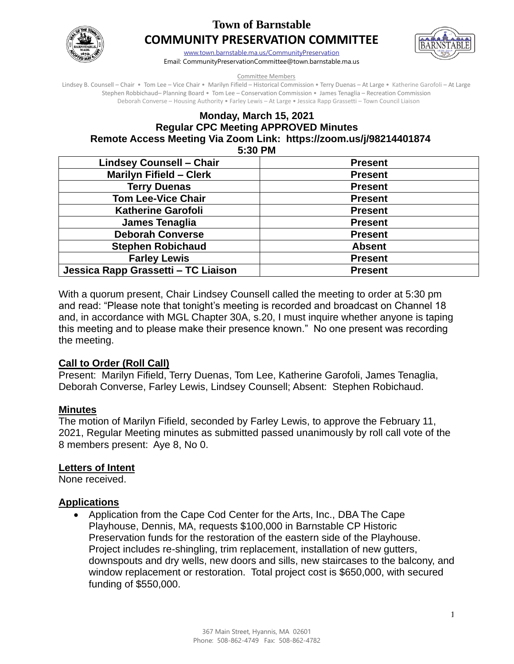

## **Town of Barnstable COMMUNITY PRESERVATION COMMITTEE**



[www.town.barnstable.ma.us/CommunityPreservation](http://www.town.barnstable.ma.us/CommunityPreservation) Email: CommunityPreservationCommittee@town.barnstable.ma.us

Committee Members

Lindsey B. Counsell – Chair • Tom Lee – Vice Chair • Marilyn Fifield – Historical Commission • Terry Duenas – At Large • Katherine Garofoli – At Large Stephen Robbichaud– Planning Board • Tom Lee – Conservation Commission • James Tenaglia – Recreation Commission Deborah Converse – Housing Authority • Farley Lewis – At Large • Jessica Rapp Grassetti – Town Council Liaison

# **Monday, March 15, 2021 Regular CPC Meeting APPROVED Minutes Remote Access Meeting Via Zoom Link: https://zoom.us/j/98214401874**

**5:30 PM** 

| <b>Lindsey Counsell - Chair</b>     | <b>Present</b> |
|-------------------------------------|----------------|
| <b>Marilyn Fifield - Clerk</b>      | <b>Present</b> |
| <b>Terry Duenas</b>                 | <b>Present</b> |
| <b>Tom Lee-Vice Chair</b>           | <b>Present</b> |
| <b>Katherine Garofoli</b>           | <b>Present</b> |
| James Tenaglia                      | <b>Present</b> |
| <b>Deborah Converse</b>             | <b>Present</b> |
| <b>Stephen Robichaud</b>            | <b>Absent</b>  |
| <b>Farley Lewis</b>                 | <b>Present</b> |
| Jessica Rapp Grassetti - TC Liaison | <b>Present</b> |
|                                     |                |

With a quorum present, Chair Lindsey Counsell called the meeting to order at 5:30 pm and read: "Please note that tonight's meeting is recorded and broadcast on Channel 18 and, in accordance with MGL Chapter 30A, s.20, I must inquire whether anyone is taping this meeting and to please make their presence known." No one present was recording the meeting.

## **Call to Order (Roll Call)**

Present: Marilyn Fifield, Terry Duenas, Tom Lee, Katherine Garofoli, James Tenaglia, Deborah Converse, Farley Lewis, Lindsey Counsell; Absent: Stephen Robichaud.

## **Minutes**

The motion of Marilyn Fifield, seconded by Farley Lewis, to approve the February 11, 2021, Regular Meeting minutes as submitted passed unanimously by roll call vote of the 8 members present: Aye 8, No 0.

## **Letters of Intent**

None received.

## **Applications**

• Application from the Cape Cod Center for the Arts, Inc., DBA The Cape Playhouse, Dennis, MA, requests \$100,000 in Barnstable CP Historic Preservation funds for the restoration of the eastern side of the Playhouse. Project includes re-shingling, trim replacement, installation of new gutters, downspouts and dry wells, new doors and sills, new staircases to the balcony, and window replacement or restoration. Total project cost is \$650,000, with secured funding of \$550,000.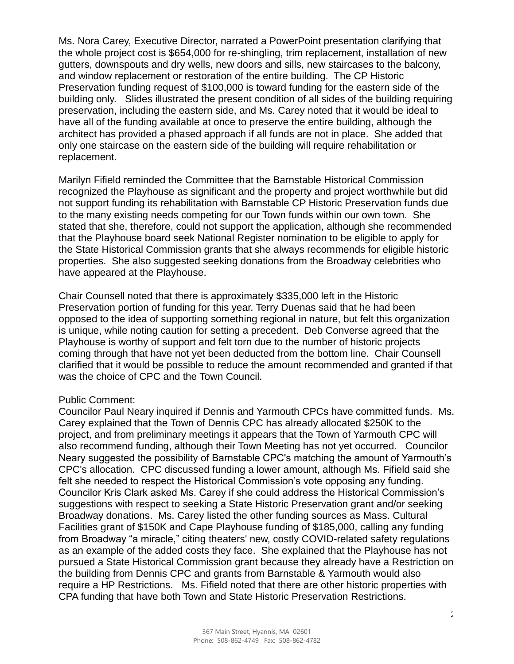Ms. Nora Carey, Executive Director, narrated a PowerPoint presentation clarifying that the whole project cost is \$654,000 for re-shingling, trim replacement, installation of new gutters, downspouts and dry wells, new doors and sills, new staircases to the balcony, and window replacement or restoration of the entire building. The CP Historic Preservation funding request of \$100,000 is toward funding for the eastern side of the building only. Slides illustrated the present condition of all sides of the building requiring preservation, including the eastern side, and Ms. Carey noted that it would be ideal to have all of the funding available at once to preserve the entire building, although the architect has provided a phased approach if all funds are not in place. She added that only one staircase on the eastern side of the building will require rehabilitation or replacement.

Marilyn Fifield reminded the Committee that the Barnstable Historical Commission recognized the Playhouse as significant and the property and project worthwhile but did not support funding its rehabilitation with Barnstable CP Historic Preservation funds due to the many existing needs competing for our Town funds within our own town. She stated that she, therefore, could not support the application, although she recommended that the Playhouse board seek National Register nomination to be eligible to apply for the State Historical Commission grants that she always recommends for eligible historic properties. She also suggested seeking donations from the Broadway celebrities who have appeared at the Playhouse.

Chair Counsell noted that there is approximately \$335,000 left in the Historic Preservation portion of funding for this year. Terry Duenas said that he had been opposed to the idea of supporting something regional in nature, but felt this organization is unique, while noting caution for setting a precedent. Deb Converse agreed that the Playhouse is worthy of support and felt torn due to the number of historic projects coming through that have not yet been deducted from the bottom line. Chair Counsell clarified that it would be possible to reduce the amount recommended and granted if that was the choice of CPC and the Town Council.

#### Public Comment:

Councilor Paul Neary inquired if Dennis and Yarmouth CPCs have committed funds. Ms. Carey explained that the Town of Dennis CPC has already allocated \$250K to the project, and from preliminary meetings it appears that the Town of Yarmouth CPC will also recommend funding, although their Town Meeting has not yet occurred. Councilor Neary suggested the possibility of Barnstable CPC's matching the amount of Yarmouth's CPC's allocation. CPC discussed funding a lower amount, although Ms. Fifield said she felt she needed to respect the Historical Commission's vote opposing any funding. Councilor Kris Clark asked Ms. Carey if she could address the Historical Commission's suggestions with respect to seeking a State Historic Preservation grant and/or seeking Broadway donations. Ms. Carey listed the other funding sources as Mass. Cultural Facilities grant of \$150K and Cape Playhouse funding of \$185,000, calling any funding from Broadway "a miracle," citing theaters' new, costly COVID-related safety regulations as an example of the added costs they face. She explained that the Playhouse has not pursued a State Historical Commission grant because they already have a Restriction on the building from Dennis CPC and grants from Barnstable & Yarmouth would also require a HP Restrictions. Ms. Fifield noted that there are other historic properties with CPA funding that have both Town and State Historic Preservation Restrictions.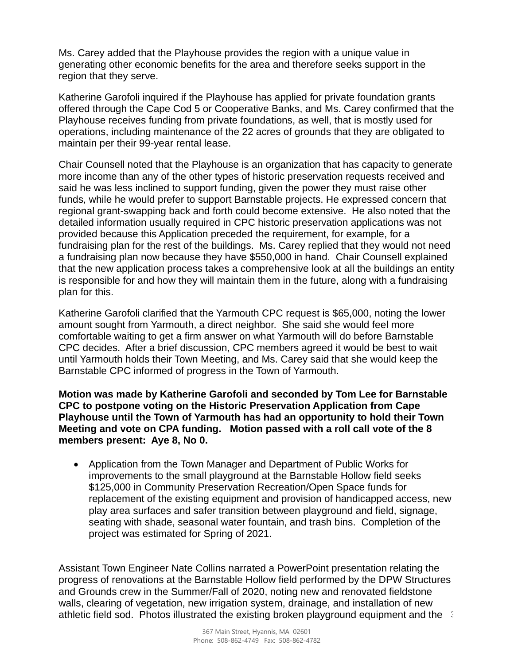Ms. Carey added that the Playhouse provides the region with a unique value in generating other economic benefits for the area and therefore seeks support in the region that they serve.

Katherine Garofoli inquired if the Playhouse has applied for private foundation grants offered through the Cape Cod 5 or Cooperative Banks, and Ms. Carey confirmed that the Playhouse receives funding from private foundations, as well, that is mostly used for operations, including maintenance of the 22 acres of grounds that they are obligated to maintain per their 99-year rental lease.

Chair Counsell noted that the Playhouse is an organization that has capacity to generate more income than any of the other types of historic preservation requests received and said he was less inclined to support funding, given the power they must raise other funds, while he would prefer to support Barnstable projects. He expressed concern that regional grant-swapping back and forth could become extensive. He also noted that the detailed information usually required in CPC historic preservation applications was not provided because this Application preceded the requirement, for example, for a fundraising plan for the rest of the buildings. Ms. Carey replied that they would not need a fundraising plan now because they have \$550,000 in hand. Chair Counsell explained that the new application process takes a comprehensive look at all the buildings an entity is responsible for and how they will maintain them in the future, along with a fundraising plan for this.

Katherine Garofoli clarified that the Yarmouth CPC request is \$65,000, noting the lower amount sought from Yarmouth, a direct neighbor. She said she would feel more comfortable waiting to get a firm answer on what Yarmouth will do before Barnstable CPC decides. After a brief discussion, CPC members agreed it would be best to wait until Yarmouth holds their Town Meeting, and Ms. Carey said that she would keep the Barnstable CPC informed of progress in the Town of Yarmouth.

**Motion was made by Katherine Garofoli and seconded by Tom Lee for Barnstable CPC to postpone voting on the Historic Preservation Application from Cape Playhouse until the Town of Yarmouth has had an opportunity to hold their Town Meeting and vote on CPA funding. Motion passed with a roll call vote of the 8 members present: Aye 8, No 0.**

• Application from the Town Manager and Department of Public Works for improvements to the small playground at the Barnstable Hollow field seeks \$125,000 in Community Preservation Recreation/Open Space funds for replacement of the existing equipment and provision of handicapped access, new play area surfaces and safer transition between playground and field, signage, seating with shade, seasonal water fountain, and trash bins. Completion of the project was estimated for Spring of 2021.

athletic field sod. Photos illustrated the existing broken playground equipment and the 3 Assistant Town Engineer Nate Collins narrated a PowerPoint presentation relating the progress of renovations at the Barnstable Hollow field performed by the DPW Structures and Grounds crew in the Summer/Fall of 2020, noting new and renovated fieldstone walls, clearing of vegetation, new irrigation system, drainage, and installation of new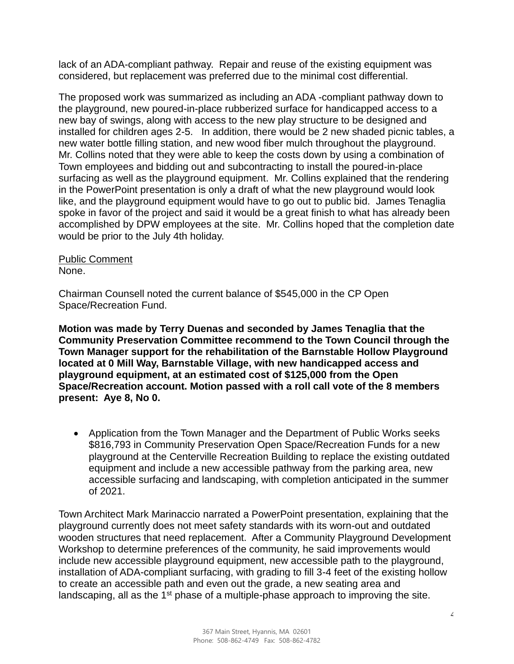lack of an ADA-compliant pathway. Repair and reuse of the existing equipment was considered, but replacement was preferred due to the minimal cost differential.

The proposed work was summarized as including an ADA -compliant pathway down to the playground, new poured-in-place rubberized surface for handicapped access to a new bay of swings, along with access to the new play structure to be designed and installed for children ages 2-5. In addition, there would be 2 new shaded picnic tables, a new water bottle filling station, and new wood fiber mulch throughout the playground. Mr. Collins noted that they were able to keep the costs down by using a combination of Town employees and bidding out and subcontracting to install the poured-in-place surfacing as well as the playground equipment. Mr. Collins explained that the rendering in the PowerPoint presentation is only a draft of what the new playground would look like, and the playground equipment would have to go out to public bid. James Tenaglia spoke in favor of the project and said it would be a great finish to what has already been accomplished by DPW employees at the site. Mr. Collins hoped that the completion date would be prior to the July 4th holiday.

Public Comment None.

Chairman Counsell noted the current balance of \$545,000 in the CP Open Space/Recreation Fund.

**Motion was made by Terry Duenas and seconded by James Tenaglia that the Community Preservation Committee recommend to the Town Council through the Town Manager support for the rehabilitation of the Barnstable Hollow Playground located at 0 Mill Way, Barnstable Village, with new handicapped access and playground equipment, at an estimated cost of \$125,000 from the Open Space/Recreation account. Motion passed with a roll call vote of the 8 members present: Aye 8, No 0.** 

• Application from the Town Manager and the Department of Public Works seeks \$816,793 in Community Preservation Open Space/Recreation Funds for a new playground at the Centerville Recreation Building to replace the existing outdated equipment and include a new accessible pathway from the parking area, new accessible surfacing and landscaping, with completion anticipated in the summer of 2021.

Town Architect Mark Marinaccio narrated a PowerPoint presentation, explaining that the playground currently does not meet safety standards with its worn-out and outdated wooden structures that need replacement. After a Community Playground Development Workshop to determine preferences of the community, he said improvements would include new accessible playground equipment, new accessible path to the playground, installation of ADA-compliant surfacing, with grading to fill 3-4 feet of the existing hollow to create an accessible path and even out the grade, a new seating area and landscaping, all as the  $1<sup>st</sup>$  phase of a multiple-phase approach to improving the site.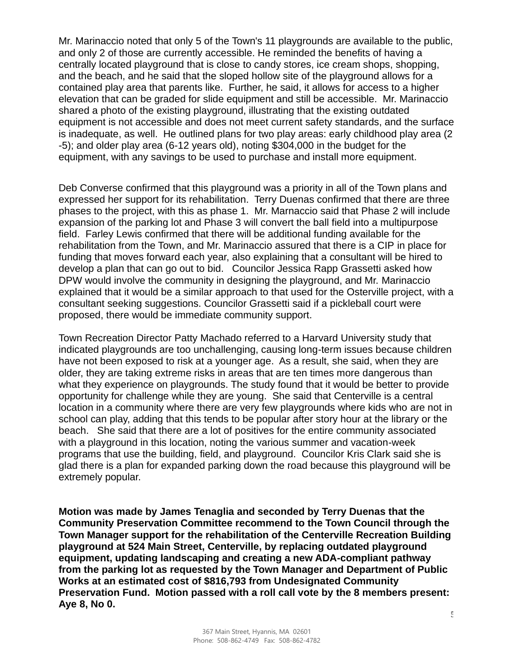Mr. Marinaccio noted that only 5 of the Town's 11 playgrounds are available to the public, and only 2 of those are currently accessible. He reminded the benefits of having a centrally located playground that is close to candy stores, ice cream shops, shopping, and the beach, and he said that the sloped hollow site of the playground allows for a contained play area that parents like. Further, he said, it allows for access to a higher elevation that can be graded for slide equipment and still be accessible. Mr. Marinaccio shared a photo of the existing playground, illustrating that the existing outdated equipment is not accessible and does not meet current safety standards, and the surface is inadequate, as well. He outlined plans for two play areas: early childhood play area (2 -5); and older play area (6-12 years old), noting \$304,000 in the budget for the equipment, with any savings to be used to purchase and install more equipment.

Deb Converse confirmed that this playground was a priority in all of the Town plans and expressed her support for its rehabilitation. Terry Duenas confirmed that there are three phases to the project, with this as phase 1. Mr. Marnaccio said that Phase 2 will include expansion of the parking lot and Phase 3 will convert the ball field into a multipurpose field. Farley Lewis confirmed that there will be additional funding available for the rehabilitation from the Town, and Mr. Marinaccio assured that there is a CIP in place for funding that moves forward each year, also explaining that a consultant will be hired to develop a plan that can go out to bid. Councilor Jessica Rapp Grassetti asked how DPW would involve the community in designing the playground, and Mr. Marinaccio explained that it would be a similar approach to that used for the Osterville project, with a consultant seeking suggestions. Councilor Grassetti said if a pickleball court were proposed, there would be immediate community support.

Town Recreation Director Patty Machado referred to a Harvard University study that indicated playgrounds are too unchallenging, causing long-term issues because children have not been exposed to risk at a younger age. As a result, she said, when they are older, they are taking extreme risks in areas that are ten times more dangerous than what they experience on playgrounds. The study found that it would be better to provide opportunity for challenge while they are young. She said that Centerville is a central location in a community where there are very few playgrounds where kids who are not in school can play, adding that this tends to be popular after story hour at the library or the beach. She said that there are a lot of positives for the entire community associated with a playground in this location, noting the various summer and vacation-week programs that use the building, field, and playground. Councilor Kris Clark said she is glad there is a plan for expanded parking down the road because this playground will be extremely popular.

**Motion was made by James Tenaglia and seconded by Terry Duenas that the Community Preservation Committee recommend to the Town Council through the Town Manager support for the rehabilitation of the Centerville Recreation Building playground at 524 Main Street, Centerville, by replacing outdated playground equipment, updating landscaping and creating a new ADA-compliant pathway from the parking lot as requested by the Town Manager and Department of Public Works at an estimated cost of \$816,793 from Undesignated Community Preservation Fund. Motion passed with a roll call vote by the 8 members present: Aye 8, No 0.**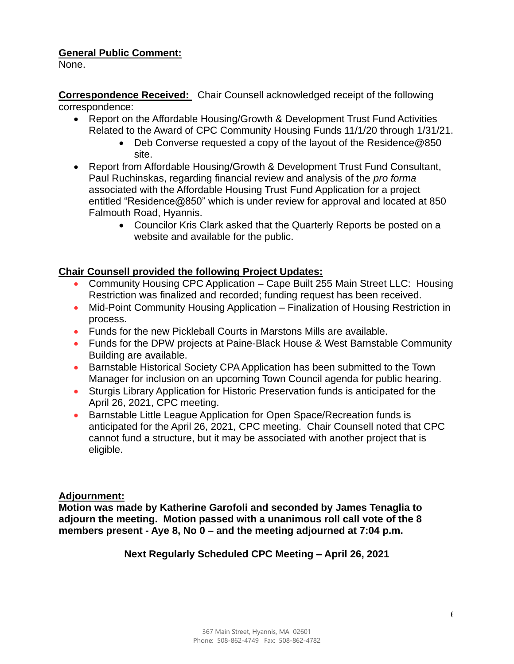### **General Public Comment:**

None.

**Correspondence Received:** Chair Counsell acknowledged receipt of the following correspondence:

- Report on the Affordable Housing/Growth & Development Trust Fund Activities Related to the Award of CPC Community Housing Funds 11/1/20 through 1/31/21.
	- Deb Converse requested a copy of the layout of the Residence@850 site.
- Report from Affordable Housing/Growth & Development Trust Fund Consultant, Paul Ruchinskas, regarding financial review and analysis of the *pro forma* associated with the Affordable Housing Trust Fund Application for a project entitled "Residence@850" which is under review for approval and located at 850 Falmouth Road, Hyannis.
	- Councilor Kris Clark asked that the Quarterly Reports be posted on a website and available for the public.

### **Chair Counsell provided the following Project Updates:**

- Community Housing CPC Application Cape Built 255 Main Street LLC: Housing Restriction was finalized and recorded; funding request has been received.
- Mid-Point Community Housing Application Finalization of Housing Restriction in process.
- Funds for the new Pickleball Courts in Marstons Mills are available.
- Funds for the DPW projects at Paine-Black House & West Barnstable Community Building are available.
- Barnstable Historical Society CPA Application has been submitted to the Town Manager for inclusion on an upcoming Town Council agenda for public hearing.
- Sturgis Library Application for Historic Preservation funds is anticipated for the April 26, 2021, CPC meeting.
- Barnstable Little League Application for Open Space/Recreation funds is anticipated for the April 26, 2021, CPC meeting. Chair Counsell noted that CPC cannot fund a structure, but it may be associated with another project that is eligible.

## **Adjournment:**

**Motion was made by Katherine Garofoli and seconded by James Tenaglia to adjourn the meeting. Motion passed with a unanimous roll call vote of the 8 members present - Aye 8, No 0 – and the meeting adjourned at 7:04 p.m.**

## **Next Regularly Scheduled CPC Meeting – April 26, 2021**